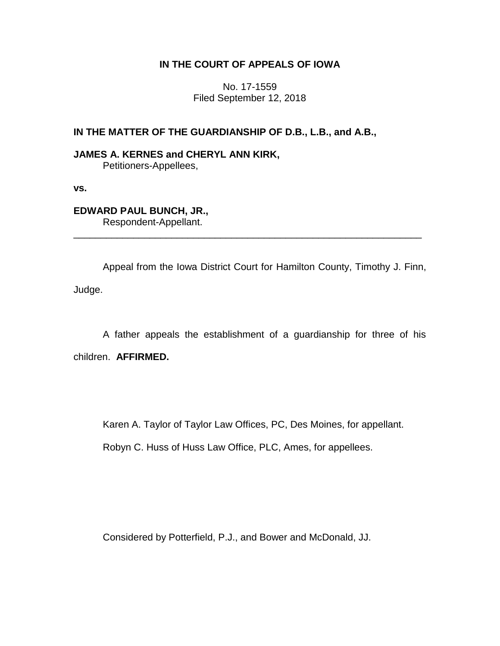# **IN THE COURT OF APPEALS OF IOWA**

No. 17-1559 Filed September 12, 2018

# **IN THE MATTER OF THE GUARDIANSHIP OF D.B., L.B., and A.B.,**

## **JAMES A. KERNES and CHERYL ANN KIRK,** Petitioners-Appellees,

**vs.**

## **EDWARD PAUL BUNCH, JR.,** Respondent-Appellant.

Appeal from the Iowa District Court for Hamilton County, Timothy J. Finn, Judge.

\_\_\_\_\_\_\_\_\_\_\_\_\_\_\_\_\_\_\_\_\_\_\_\_\_\_\_\_\_\_\_\_\_\_\_\_\_\_\_\_\_\_\_\_\_\_\_\_\_\_\_\_\_\_\_\_\_\_\_\_\_\_\_\_

A father appeals the establishment of a guardianship for three of his children. **AFFIRMED.**

Karen A. Taylor of Taylor Law Offices, PC, Des Moines, for appellant.

Robyn C. Huss of Huss Law Office, PLC, Ames, for appellees.

Considered by Potterfield, P.J., and Bower and McDonald, JJ.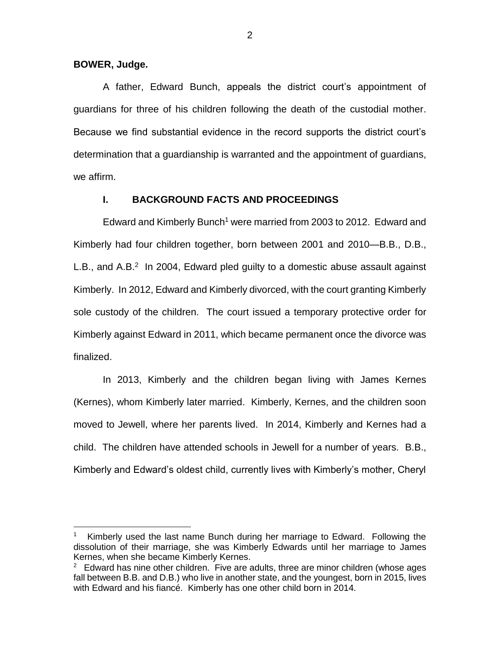**BOWER, Judge.**

 $\overline{a}$ 

A father, Edward Bunch, appeals the district court's appointment of guardians for three of his children following the death of the custodial mother. Because we find substantial evidence in the record supports the district court's determination that a guardianship is warranted and the appointment of guardians, we affirm.

## **I. BACKGROUND FACTS AND PROCEEDINGS**

Edward and Kimberly Bunch<sup>1</sup> were married from 2003 to 2012. Edward and Kimberly had four children together, born between 2001 and 2010—B.B., D.B., L.B., and A.B. $<sup>2</sup>$  In 2004, Edward pled guilty to a domestic abuse assault against</sup> Kimberly. In 2012, Edward and Kimberly divorced, with the court granting Kimberly sole custody of the children. The court issued a temporary protective order for Kimberly against Edward in 2011, which became permanent once the divorce was finalized.

In 2013, Kimberly and the children began living with James Kernes (Kernes), whom Kimberly later married. Kimberly, Kernes, and the children soon moved to Jewell, where her parents lived. In 2014, Kimberly and Kernes had a child. The children have attended schools in Jewell for a number of years. B.B., Kimberly and Edward's oldest child, currently lives with Kimberly's mother, Cheryl

<sup>1</sup> Kimberly used the last name Bunch during her marriage to Edward. Following the dissolution of their marriage, she was Kimberly Edwards until her marriage to James Kernes, when she became Kimberly Kernes.

<sup>&</sup>lt;sup>2</sup> Edward has nine other children. Five are adults, three are minor children (whose ages fall between B.B. and D.B.) who live in another state, and the youngest, born in 2015, lives with Edward and his fiancé. Kimberly has one other child born in 2014.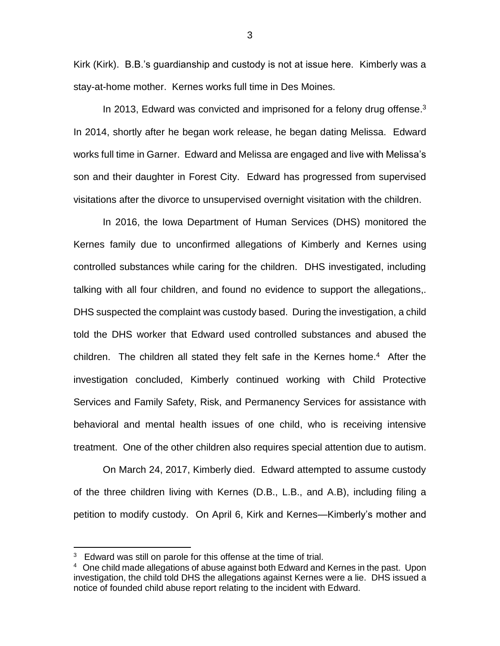Kirk (Kirk). B.B.'s guardianship and custody is not at issue here. Kimberly was a stay-at-home mother. Kernes works full time in Des Moines.

In 2013, Edward was convicted and imprisoned for a felony drug offense. $3$ In 2014, shortly after he began work release, he began dating Melissa. Edward works full time in Garner. Edward and Melissa are engaged and live with Melissa's son and their daughter in Forest City. Edward has progressed from supervised visitations after the divorce to unsupervised overnight visitation with the children.

In 2016, the Iowa Department of Human Services (DHS) monitored the Kernes family due to unconfirmed allegations of Kimberly and Kernes using controlled substances while caring for the children. DHS investigated, including talking with all four children, and found no evidence to support the allegations,. DHS suspected the complaint was custody based. During the investigation, a child told the DHS worker that Edward used controlled substances and abused the children. The children all stated they felt safe in the Kernes home.<sup>4</sup> After the investigation concluded, Kimberly continued working with Child Protective Services and Family Safety, Risk, and Permanency Services for assistance with behavioral and mental health issues of one child, who is receiving intensive treatment. One of the other children also requires special attention due to autism.

On March 24, 2017, Kimberly died. Edward attempted to assume custody of the three children living with Kernes (D.B., L.B., and A.B), including filing a petition to modify custody. On April 6, Kirk and Kernes—Kimberly's mother and

 $\overline{a}$ 

 $3$  Edward was still on parole for this offense at the time of trial.

<sup>&</sup>lt;sup>4</sup> One child made allegations of abuse against both Edward and Kernes in the past. Upon investigation, the child told DHS the allegations against Kernes were a lie. DHS issued a notice of founded child abuse report relating to the incident with Edward.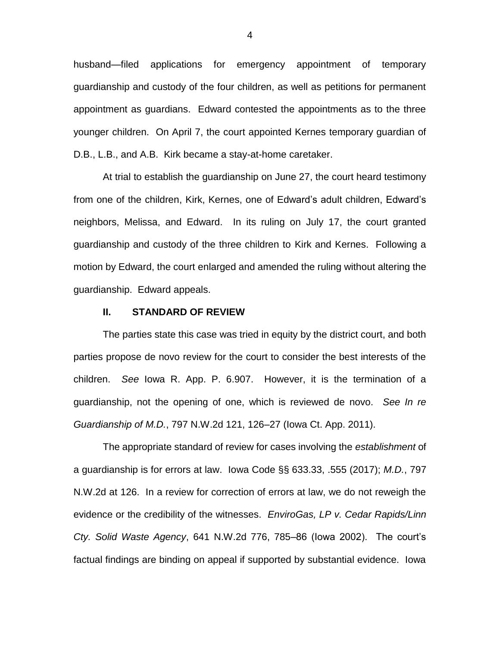husband—filed applications for emergency appointment of temporary guardianship and custody of the four children, as well as petitions for permanent appointment as guardians. Edward contested the appointments as to the three younger children. On April 7, the court appointed Kernes temporary guardian of D.B., L.B., and A.B. Kirk became a stay-at-home caretaker.

At trial to establish the guardianship on June 27, the court heard testimony from one of the children, Kirk, Kernes, one of Edward's adult children, Edward's neighbors, Melissa, and Edward. In its ruling on July 17, the court granted guardianship and custody of the three children to Kirk and Kernes. Following a motion by Edward, the court enlarged and amended the ruling without altering the guardianship. Edward appeals.

### **II. STANDARD OF REVIEW**

The parties state this case was tried in equity by the district court, and both parties propose de novo review for the court to consider the best interests of the children. *See* Iowa R. App. P. 6.907. However, it is the termination of a guardianship, not the opening of one, which is reviewed de novo. *See In re Guardianship of M.D.*, 797 N.W.2d 121, 126–27 (Iowa Ct. App. 2011).

The appropriate standard of review for cases involving the *establishment* of a guardianship is for errors at law. Iowa Code §§ 633.33, .555 (2017); *M.D.*, 797 N.W.2d at 126. In a review for correction of errors at law, we do not reweigh the evidence or the credibility of the witnesses. *EnviroGas, LP v. Cedar Rapids/Linn Cty. Solid Waste Agency*, 641 N.W.2d 776, 785–86 (Iowa 2002). The court's factual findings are binding on appeal if supported by substantial evidence. Iowa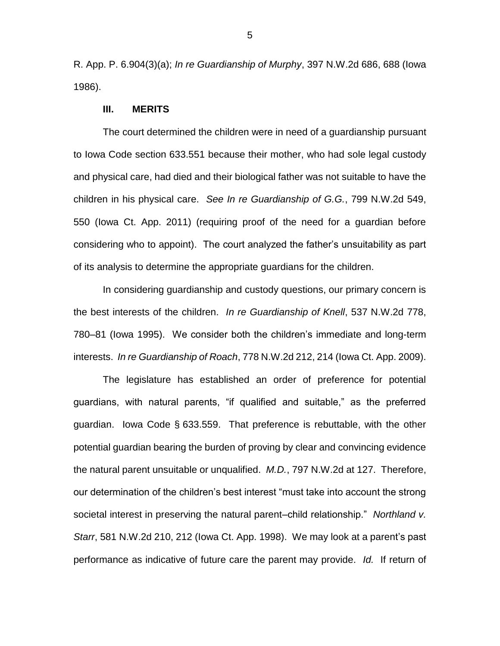R. App. P. 6.904(3)(a); *In re Guardianship of Murphy*, 397 N.W.2d 686, 688 (Iowa 1986).

#### **III. MERITS**

The court determined the children were in need of a guardianship pursuant to Iowa Code section 633.551 because their mother, who had sole legal custody and physical care, had died and their biological father was not suitable to have the children in his physical care. *See In re Guardianship of G.G.*, 799 N.W.2d 549, 550 (Iowa Ct. App. 2011) (requiring proof of the need for a guardian before considering who to appoint). The court analyzed the father's unsuitability as part of its analysis to determine the appropriate guardians for the children.

In considering guardianship and custody questions, our primary concern is the best interests of the children. *In re Guardianship of Knell*, 537 N.W.2d 778, 780–81 (Iowa 1995). We consider both the children's immediate and long-term interests. *In re Guardianship of Roach*, 778 N.W.2d 212, 214 (Iowa Ct. App. 2009).

The legislature has established an order of preference for potential guardians, with natural parents, "if qualified and suitable," as the preferred guardian. Iowa Code § 633.559. That preference is rebuttable, with the other potential guardian bearing the burden of proving by clear and convincing evidence the natural parent unsuitable or unqualified. *M.D.*, 797 N.W.2d at 127. Therefore, our determination of the children's best interest "must take into account the strong societal interest in preserving the natural parent–child relationship." *Northland v. Starr*, 581 N.W.2d 210, 212 (Iowa Ct. App. 1998). We may look at a parent's past performance as indicative of future care the parent may provide. *Id.* If return of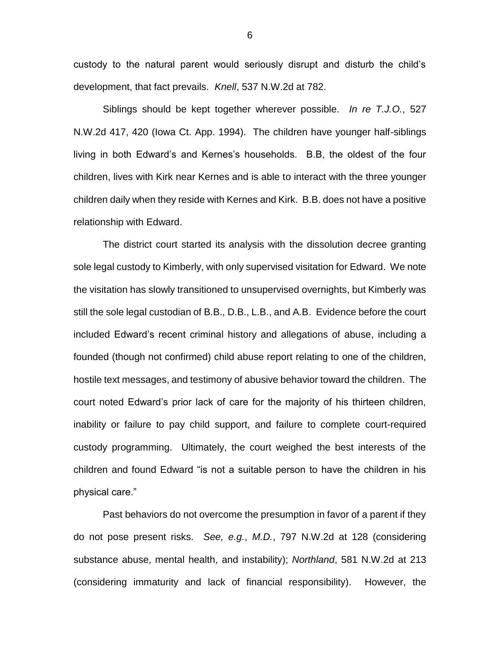custody to the natural parent would seriously disrupt and disturb the child's development, that fact prevails. *Knell*, 537 N.W.2d at 782.

Siblings should be kept together wherever possible. *In re T.J.O.*, 527 N.W.2d 417, 420 (Iowa Ct. App. 1994). The children have younger half-siblings living in both Edward's and Kernes's households. B.B, the oldest of the four children, lives with Kirk near Kernes and is able to interact with the three younger children daily when they reside with Kernes and Kirk. B.B. does not have a positive relationship with Edward.

The district court started its analysis with the dissolution decree granting sole legal custody to Kimberly, with only supervised visitation for Edward. We note the visitation has slowly transitioned to unsupervised overnights, but Kimberly was still the sole legal custodian of B.B., D.B., L.B., and A.B. Evidence before the court included Edward's recent criminal history and allegations of abuse, including a founded (though not confirmed) child abuse report relating to one of the children, hostile text messages, and testimony of abusive behavior toward the children. The court noted Edward's prior lack of care for the majority of his thirteen children, inability or failure to pay child support, and failure to complete court-required custody programming. Ultimately, the court weighed the best interests of the children and found Edward "is not a suitable person to have the children in his physical care."

Past behaviors do not overcome the presumption in favor of a parent if they do not pose present risks. *See, e.g.*, *M.D.*, 797 N.W.2d at 128 (considering substance abuse, mental health, and instability); *Northland*, 581 N.W.2d at 213 (considering immaturity and lack of financial responsibility). However, the

6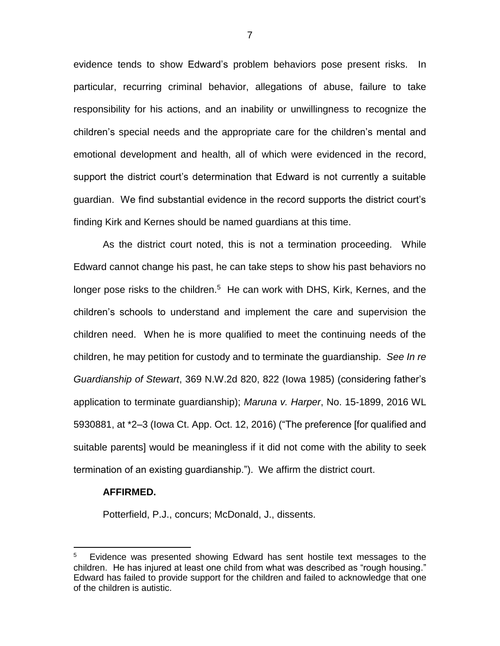evidence tends to show Edward's problem behaviors pose present risks. In particular, recurring criminal behavior, allegations of abuse, failure to take responsibility for his actions, and an inability or unwillingness to recognize the children's special needs and the appropriate care for the children's mental and emotional development and health, all of which were evidenced in the record, support the district court's determination that Edward is not currently a suitable guardian. We find substantial evidence in the record supports the district court's finding Kirk and Kernes should be named guardians at this time.

As the district court noted, this is not a termination proceeding. While Edward cannot change his past, he can take steps to show his past behaviors no longer pose risks to the children.<sup>5</sup> He can work with DHS, Kirk, Kernes, and the children's schools to understand and implement the care and supervision the children need. When he is more qualified to meet the continuing needs of the children, he may petition for custody and to terminate the guardianship. *See In re Guardianship of Stewart*, 369 N.W.2d 820, 822 (Iowa 1985) (considering father's application to terminate guardianship); *Maruna v. Harper*, No. 15-1899, 2016 WL 5930881, at \*2–3 (Iowa Ct. App. Oct. 12, 2016) ("The preference [for qualified and suitable parents] would be meaningless if it did not come with the ability to seek termination of an existing guardianship."). We affirm the district court.

#### **AFFIRMED.**

 $\overline{a}$ 

Potterfield, P.J., concurs; McDonald, J., dissents.

7

<sup>5</sup> Evidence was presented showing Edward has sent hostile text messages to the children. He has injured at least one child from what was described as "rough housing." Edward has failed to provide support for the children and failed to acknowledge that one of the children is autistic.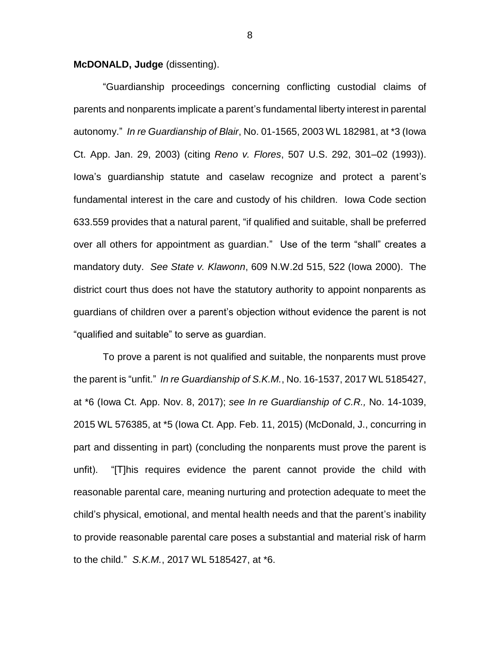**McDONALD, Judge** (dissenting).

"Guardianship proceedings concerning conflicting custodial claims of parents and nonparents implicate a parent's fundamental liberty interest in parental autonomy." *In re Guardianship of Blair*, No. 01-1565, 2003 WL 182981, at \*3 (Iowa Ct. App. Jan. 29, 2003) (citing *Reno v. Flores*, 507 U.S. 292, 301–02 (1993)). Iowa's guardianship statute and caselaw recognize and protect a parent's fundamental interest in the care and custody of his children. Iowa Code section 633.559 provides that a natural parent, "if qualified and suitable, shall be preferred over all others for appointment as guardian." Use of the term "shall" creates a mandatory duty. *See State v. Klawonn*, 609 N.W.2d 515, 522 (Iowa 2000). The district court thus does not have the statutory authority to appoint nonparents as guardians of children over a parent's objection without evidence the parent is not "qualified and suitable" to serve as guardian.

To prove a parent is not qualified and suitable, the nonparents must prove the parent is "unfit." *In re Guardianship of S.K.M.*, No. 16-1537, 2017 WL 5185427, at \*6 (Iowa Ct. App. Nov. 8, 2017); *see In re Guardianship of C.R.,* No. 14-1039, 2015 WL 576385, at \*5 (Iowa Ct. App. Feb. 11, 2015) (McDonald, J., concurring in part and dissenting in part) (concluding the nonparents must prove the parent is unfit). "[T]his requires evidence the parent cannot provide the child with reasonable parental care, meaning nurturing and protection adequate to meet the child's physical, emotional, and mental health needs and that the parent's inability to provide reasonable parental care poses a substantial and material risk of harm to the child." *S.K.M.*, 2017 WL 5185427, at \*6.

8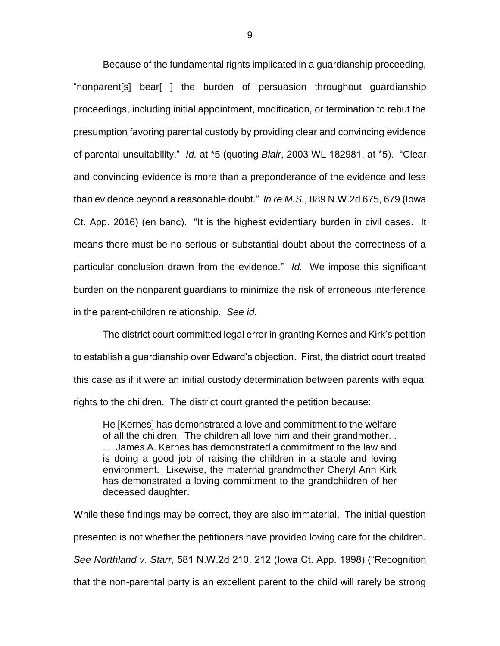Because of the fundamental rights implicated in a guardianship proceeding, "nonparent[s] bear[ ] the burden of persuasion throughout guardianship proceedings, including initial appointment, modification, or termination to rebut the presumption favoring parental custody by providing clear and convincing evidence of parental unsuitability." *Id.* at \*5 (quoting *Blair*, 2003 WL 182981, at \*5). "Clear and convincing evidence is more than a preponderance of the evidence and less than evidence beyond a reasonable doubt." *In re M.S.*, 889 N.W.2d 675, 679 (Iowa Ct. App. 2016) (en banc). "It is the highest evidentiary burden in civil cases. It means there must be no serious or substantial doubt about the correctness of a particular conclusion drawn from the evidence." *Id.* We impose this significant burden on the nonparent guardians to minimize the risk of erroneous interference in the parent-children relationship. *See id.*

The district court committed legal error in granting Kernes and Kirk's petition to establish a guardianship over Edward's objection. First, the district court treated this case as if it were an initial custody determination between parents with equal rights to the children. The district court granted the petition because:

He [Kernes] has demonstrated a love and commitment to the welfare of all the children. The children all love him and their grandmother. . . . James A. Kernes has demonstrated a commitment to the law and is doing a good job of raising the children in a stable and loving environment. Likewise, the maternal grandmother Cheryl Ann Kirk has demonstrated a loving commitment to the grandchildren of her deceased daughter.

While these findings may be correct, they are also immaterial. The initial question presented is not whether the petitioners have provided loving care for the children. *See Northland v. Starr*, 581 N.W.2d 210, 212 (Iowa Ct. App. 1998) ("Recognition that the non-parental party is an excellent parent to the child will rarely be strong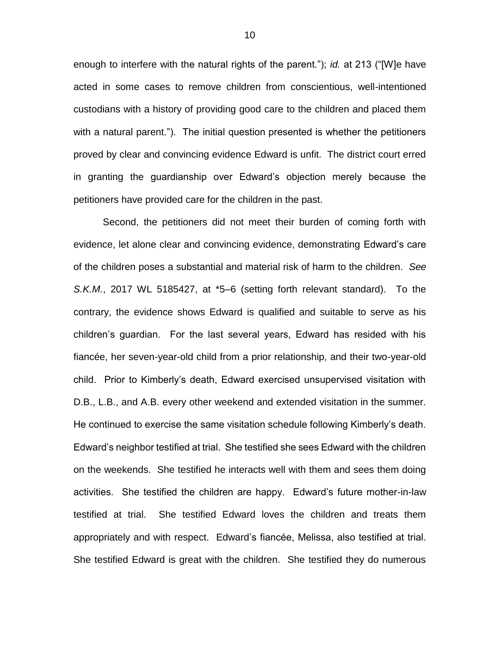enough to interfere with the natural rights of the parent."); *id.* at 213 ("[W]e have acted in some cases to remove children from conscientious, well-intentioned custodians with a history of providing good care to the children and placed them with a natural parent."). The initial question presented is whether the petitioners proved by clear and convincing evidence Edward is unfit. The district court erred in granting the guardianship over Edward's objection merely because the petitioners have provided care for the children in the past.

Second, the petitioners did not meet their burden of coming forth with evidence, let alone clear and convincing evidence, demonstrating Edward's care of the children poses a substantial and material risk of harm to the children. *See S.K.M.*, 2017 WL 5185427, at \*5–6 (setting forth relevant standard). To the contrary, the evidence shows Edward is qualified and suitable to serve as his children's guardian. For the last several years, Edward has resided with his fiancée, her seven-year-old child from a prior relationship, and their two-year-old child. Prior to Kimberly's death, Edward exercised unsupervised visitation with D.B., L.B., and A.B. every other weekend and extended visitation in the summer. He continued to exercise the same visitation schedule following Kimberly's death. Edward's neighbor testified at trial. She testified she sees Edward with the children on the weekends. She testified he interacts well with them and sees them doing activities. She testified the children are happy. Edward's future mother-in-law testified at trial. She testified Edward loves the children and treats them appropriately and with respect. Edward's fiancée, Melissa, also testified at trial. She testified Edward is great with the children. She testified they do numerous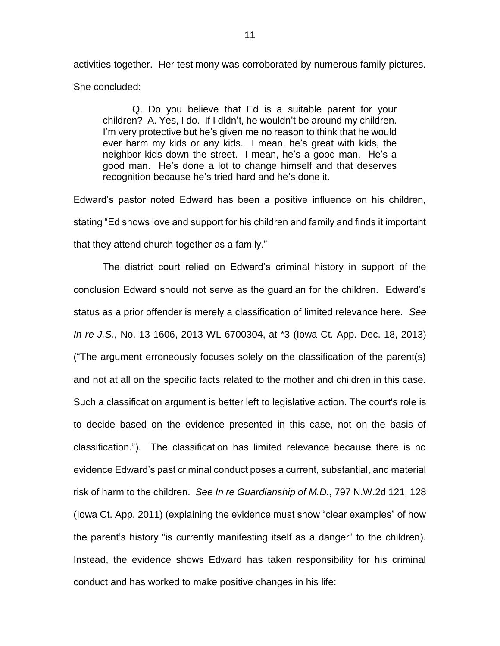activities together. Her testimony was corroborated by numerous family pictures. She concluded:

Q. Do you believe that Ed is a suitable parent for your children? A. Yes, I do. If I didn't, he wouldn't be around my children. I'm very protective but he's given me no reason to think that he would ever harm my kids or any kids. I mean, he's great with kids, the neighbor kids down the street. I mean, he's a good man. He's a good man. He's done a lot to change himself and that deserves recognition because he's tried hard and he's done it.

Edward's pastor noted Edward has been a positive influence on his children, stating "Ed shows love and support for his children and family and finds it important that they attend church together as a family."

The district court relied on Edward's criminal history in support of the conclusion Edward should not serve as the guardian for the children. Edward's status as a prior offender is merely a classification of limited relevance here. *See In re J.S.*, No. 13-1606, 2013 WL 6700304, at \*3 (Iowa Ct. App. Dec. 18, 2013) ("The argument erroneously focuses solely on the classification of the parent(s) and not at all on the specific facts related to the mother and children in this case. Such a classification argument is better left to legislative action. The court's role is to decide based on the evidence presented in this case, not on the basis of classification."). The classification has limited relevance because there is no evidence Edward's past criminal conduct poses a current, substantial, and material risk of harm to the children. *See In re Guardianship of M.D.*, 797 N.W.2d 121, 128 (Iowa Ct. App. 2011) (explaining the evidence must show "clear examples" of how the parent's history "is currently manifesting itself as a danger" to the children). Instead, the evidence shows Edward has taken responsibility for his criminal conduct and has worked to make positive changes in his life: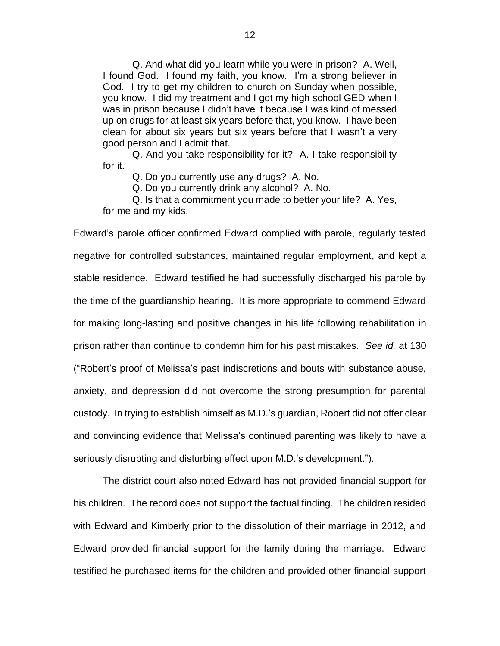Q. And what did you learn while you were in prison? A. Well, I found God. I found my faith, you know. I'm a strong believer in God. I try to get my children to church on Sunday when possible, you know. I did my treatment and I got my high school GED when I was in prison because I didn't have it because I was kind of messed up on drugs for at least six years before that, you know. I have been clean for about six years but six years before that I wasn't a very good person and I admit that.

Q. And you take responsibility for it? A. I take responsibility for it.

Q. Do you currently use any drugs? A. No.

Q. Do you currently drink any alcohol? A. No.

Q. Is that a commitment you made to better your life? A. Yes, for me and my kids.

Edward's parole officer confirmed Edward complied with parole, regularly tested negative for controlled substances, maintained regular employment, and kept a stable residence. Edward testified he had successfully discharged his parole by the time of the guardianship hearing. It is more appropriate to commend Edward for making long-lasting and positive changes in his life following rehabilitation in prison rather than continue to condemn him for his past mistakes. *See id.* at 130 ("Robert's proof of Melissa's past indiscretions and bouts with substance abuse, anxiety, and depression did not overcome the strong presumption for parental custody. In trying to establish himself as M.D.'s guardian, Robert did not offer clear and convincing evidence that Melissa's continued parenting was likely to have a seriously disrupting and disturbing effect upon M.D.'s development.").

The district court also noted Edward has not provided financial support for his children. The record does not support the factual finding. The children resided with Edward and Kimberly prior to the dissolution of their marriage in 2012, and Edward provided financial support for the family during the marriage. Edward testified he purchased items for the children and provided other financial support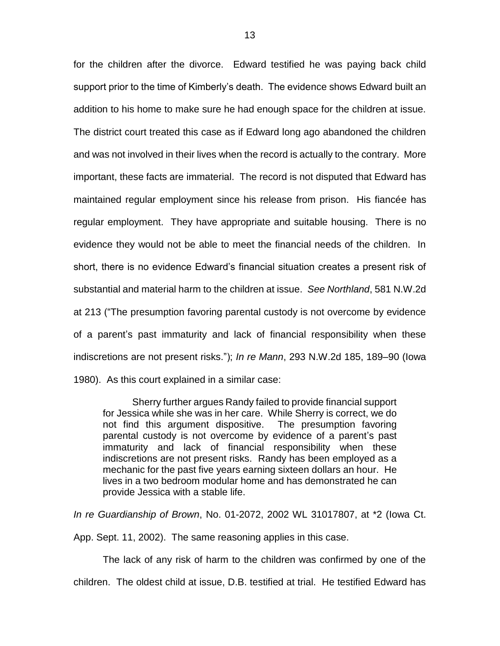for the children after the divorce. Edward testified he was paying back child support prior to the time of Kimberly's death. The evidence shows Edward built an addition to his home to make sure he had enough space for the children at issue. The district court treated this case as if Edward long ago abandoned the children and was not involved in their lives when the record is actually to the contrary. More important, these facts are immaterial. The record is not disputed that Edward has maintained regular employment since his release from prison. His fiancée has regular employment. They have appropriate and suitable housing. There is no evidence they would not be able to meet the financial needs of the children. In short, there is no evidence Edward's financial situation creates a present risk of substantial and material harm to the children at issue. *See Northland*, 581 N.W.2d at 213 ("The presumption favoring parental custody is not overcome by evidence of a parent's past immaturity and lack of financial responsibility when these indiscretions are not present risks."); *In re Mann*, 293 N.W.2d 185, 189–90 (Iowa 1980). As this court explained in a similar case:

Sherry further argues Randy failed to provide financial support for Jessica while she was in her care. While Sherry is correct, we do not find this argument dispositive. The presumption favoring parental custody is not overcome by evidence of a parent's past immaturity and lack of financial responsibility when these indiscretions are not present risks. Randy has been employed as a mechanic for the past five years earning sixteen dollars an hour. He lives in a two bedroom modular home and has demonstrated he can provide Jessica with a stable life.

*In re Guardianship of Brown*, No. 01-2072, 2002 WL 31017807, at \*2 (Iowa Ct.

App. Sept. 11, 2002). The same reasoning applies in this case.

The lack of any risk of harm to the children was confirmed by one of the children. The oldest child at issue, D.B. testified at trial. He testified Edward has